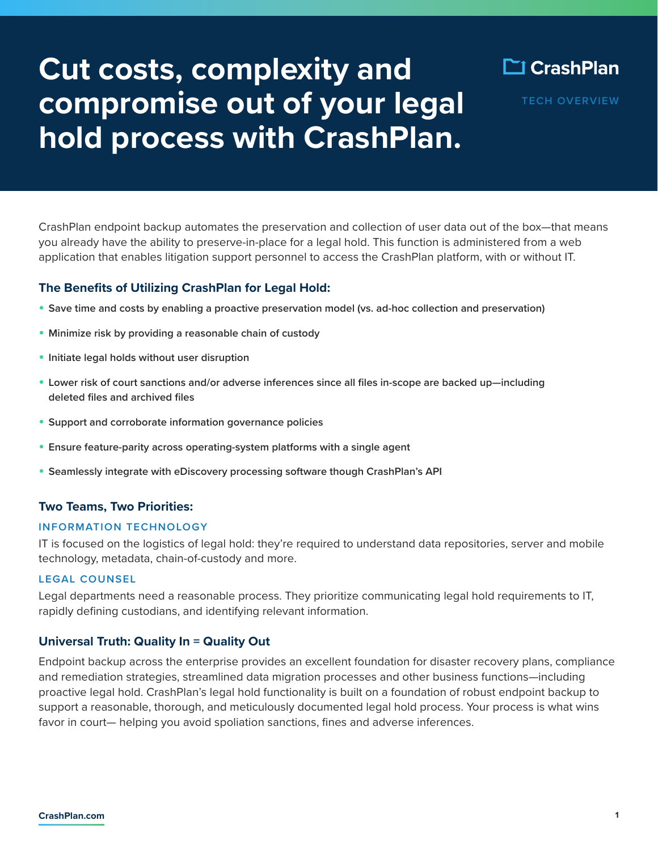# **Cut costs, complexity and compromise out of your legal hold process with CrashPlan.**



**TECH OVERVIEW**

CrashPlan endpoint backup automates the preservation and collection of user data out of the box—that means you already have the ability to preserve-in-place for a legal hold. This function is administered from a web application that enables litigation support personnel to access the CrashPlan platform, with or without IT.

# **The Benefits of Utilizing CrashPlan for Legal Hold:**

- **Save time and costs by enabling a proactive preservation model (vs. ad-hoc collection and preservation)**
- **Minimize risk by providing a reasonable chain of custody**
- **Initiate legal holds without user disruption**
- **Lower risk of court sanctions and/or adverse inferences since all files in-scope are backed up—including deleted files and archived files**
- **Support and corroborate information governance policies**
- **Ensure feature-parity across operating-system platforms with a single agent**
- **Seamlessly integrate with eDiscovery processing software though CrashPlan's API**

#### **Two Teams, Two Priorities:**

#### **INFORMATION TECHNOLOGY**

IT is focused on the logistics of legal hold: they're required to understand data repositories, server and mobile technology, metadata, chain-of-custody and more.

#### **LEGAL COUNSEL**

Legal departments need a reasonable process. They prioritize communicating legal hold requirements to IT, rapidly defining custodians, and identifying relevant information.

### **Universal Truth: Quality In = Quality Out**

Endpoint backup across the enterprise provides an excellent foundation for disaster recovery plans, compliance and remediation strategies, streamlined data migration processes and other business functions—including proactive legal hold. CrashPlan's legal hold functionality is built on a foundation of robust endpoint backup to support a reasonable, thorough, and meticulously documented legal hold process. Your process is what wins favor in court— helping you avoid spoliation sanctions, fines and adverse inferences.